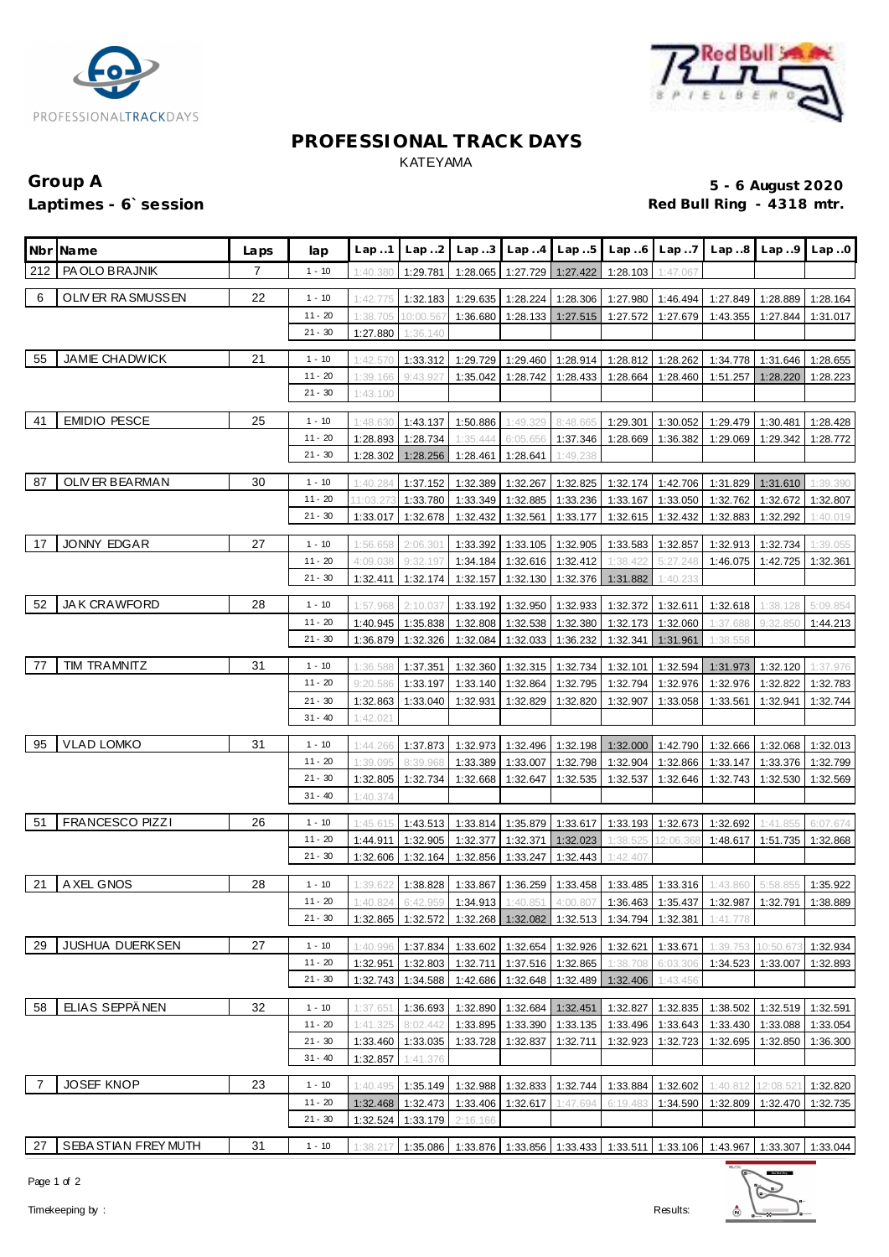



#### **PROFESSIONAL TRACK DAYS** KATEYAMA

# Group A 5 - 6 August 2020<br>
Laptimes - 6`session and the set of the set of the set of the set of the set of the set of the set of the set o<br>
Red Bull Ring - 4318 mtr.

## Red Bull Ring - 4318 mtr.

|     | Nbr Name               | Laps | lap       | Lap.1                | Lap.2             | Lap.3    |                   | $Lap. .4$ $Lap. .5$            | Lap.6    | Lap.7               |                                                                                       | $Lap.8$ $Lap.9$ $Lap.0$ |          |
|-----|------------------------|------|-----------|----------------------|-------------------|----------|-------------------|--------------------------------|----------|---------------------|---------------------------------------------------------------------------------------|-------------------------|----------|
| 212 | PA OLO BRAJNIK         | 7    | $1 - 10$  | 1:40.380             | 1:29.781          | 1:28.065 |                   | 1:27.729 1:27.422              | 1:28.103 | 1:47.067            |                                                                                       |                         |          |
| 6   | OLIVER RASMUSSEN       | 22   | $1 - 10$  | 1:42.775             | 1:32.183          | 1:29.635 |                   | 1:28.224 1:28.306              | 1:27.980 | 1:46.494            | 1:27.849                                                                              | 1:28.889                | 1:28.164 |
|     |                        |      | $11 - 20$ | 1:38.705             | 10:00.567         | 1:36.680 |                   | 1:28.133 1:27.515              | 1:27.572 | 1:27.679            | 1:43.355                                                                              | 1:27.844                | 1:31.017 |
|     |                        |      | $21 - 30$ | 1:27.880             | 1:36.140          |          |                   |                                |          |                     |                                                                                       |                         |          |
| 55  | <b>JAMIE CHADWICK</b>  | 21   | $1 - 10$  | 1:42.570             | 1:33.312          | 1:29.729 |                   | 1:29.460 1:28.914              | 1:28.812 | 1:28.262            | 1:34.778                                                                              | 1:31.646                | 1:28.655 |
|     |                        |      | $11 - 20$ | 1:39.166             | 9:43.927          | 1:35.042 |                   | 1:28.742 1:28.433              | 1:28.664 | 1:28.460            | 1:51.257                                                                              | 1:28.220                | 1:28.223 |
|     |                        |      | $21 - 30$ | 1:43.100             |                   |          |                   |                                |          |                     |                                                                                       |                         |          |
|     |                        |      |           |                      |                   |          |                   |                                |          |                     |                                                                                       |                         |          |
| 41  | <b>EMIDIO PESCE</b>    | 25   | $1 - 10$  | 1:48.630             | 1:43.137          | 1:50.886 | 1:49.329          | 8:48.665                       | 1:29.301 | 1:30.052            | 1:29.479                                                                              | 1:30.481                | 1:28.428 |
|     |                        |      | $11 - 20$ | 1:28.893             | 1:28.734          | 1:35.444 | 6:05.656          | 1:37.346                       | 1:28.669 | 1:36.382            | 1:29.069                                                                              | 1:29.342                | 1:28.772 |
|     |                        |      | $21 - 30$ | 1:28.302             | 1:28.256          | 1:28.461 | 1:28.641          | 1:49.238                       |          |                     |                                                                                       |                         |          |
| 87  | OLIV ER BEARMAN        | 30   | $1 - 10$  | 1:40.284             | 1:37.152          | 1:32.389 | 1:32.267          | 1:32.825                       | 1:32.174 | 1:42.706            | 1:31.829                                                                              | 1:31.610                | 1:39.390 |
|     |                        |      | $11 - 20$ | 11:03.27             | 1:33.780          | 1:33.349 | 1:32.885          | 1:33.236                       | 1:33.167 | 1:33.050            | 1:32.762                                                                              | 1:32.672                | 1:32.807 |
|     |                        |      | $21 - 30$ | 1:33.017             | 1:32.678          | 1:32.432 | 1:32.561          | 1:33.177                       | 1:32.615 | 1:32.432            | 1:32.883                                                                              | 1:32.292                | 1:40.019 |
|     |                        |      |           |                      |                   |          |                   |                                |          |                     |                                                                                       |                         |          |
| 17  | <b>JONNY EDGAR</b>     | 27   | $1 - 10$  | 1:56.658             | 2:06.301          | 1:33.392 | 1:33.105          | 1:32.905                       | 1:33.583 | 1:32.857            | 1:32.913                                                                              | 1:32.734                | 1:39.055 |
|     |                        |      | $11 - 20$ | 4:09.038             | 9:32.197          | 1:34.184 | 1:32.616          | 1:32.412                       | 1:38.422 | 5:27.248            | 1:46.075                                                                              | 1:42.725                | 1:32.361 |
|     |                        |      | $21 - 30$ | 1:32.411             | 1:32.174          | 1:32.157 | 1:32.130          | 1:32.376                       | 1:31.882 | 1:40.233            |                                                                                       |                         |          |
| 52  | <b>JAK CRAWFORD</b>    | 28   | $1 - 10$  | 1:57.968             | 2:10.037          | 1:33.192 | 1:32.950          | 1:32.933                       | 1:32.372 | 1:32.611            | 1:32.618                                                                              | 1:38.128                | 5:09.854 |
|     |                        |      | $11 - 20$ | 1:40.945             | 1:35.838          | 1:32.808 | 1:32.538          | 1:32.380                       | 1:32.173 | 1:32.060            | 1:37.688                                                                              | 9:32.850                | 1:44.213 |
|     |                        |      | $21 - 30$ | 1:36.879             | 1:32.326          | 1:32.084 | 1:32.033          | 1:36.232                       | 1:32.341 | 1:31.961            | 1:38.558                                                                              |                         |          |
|     |                        |      |           |                      |                   |          |                   |                                |          |                     |                                                                                       |                         |          |
| 77  | TIM TRAMNITZ           | 31   | $1 - 10$  | 1:36.588             | 1:37.351          | 1:32.360 | 1:32.315          | 1:32.734                       | 1:32.101 | 1:32.594            | 1:31.973                                                                              | 1:32.120                | 1:37.976 |
|     |                        |      | $11 - 20$ | 9:20.586             | 1:33.197          | 1:33.140 | 1:32.864          | 1:32.795                       | 1:32.794 | 1:32.976            | 1:32.976                                                                              | 1:32.822                | 1:32.783 |
|     |                        |      | $21 - 30$ | 1:32.863             | 1:33.040          | 1:32.931 | 1:32.829          | 1:32.820                       | 1:32.907 | 1:33.058            | 1:33.561                                                                              | 1:32.941                | 1:32.744 |
|     |                        |      | $31 - 40$ | 1:42.021             |                   |          |                   |                                |          |                     |                                                                                       |                         |          |
| 95  | <b>VLAD LOMKO</b>      | 31   | $1 - 10$  | 1:44.266             | 1:37.873          | 1:32.973 |                   | 1:32.496 1:32.198              | 1:32.000 | 1:42.790            | 1:32.666                                                                              | 1:32.068                | 1:32.013 |
|     |                        |      | $11 - 20$ | 1:39.095             | 8:39.968          | 1:33.389 | 1:33.007          | 1:32.798                       | 1:32.904 | 1:32.866            | 1:33.147                                                                              | 1:33.376                | 1:32.799 |
|     |                        |      | $21 - 30$ | 1:32.805             | 1:32.734          | 1:32.668 | 1:32.647          | 1:32.535                       | 1:32.537 | 1:32.646            | 1:32.743                                                                              | 1:32.530                | 1:32.569 |
|     |                        |      | $31 - 40$ | 1:40.374             |                   |          |                   |                                |          |                     |                                                                                       |                         |          |
| 51  | <b>FRANCESCO PIZZI</b> | 26   | $1 - 10$  |                      | 1:43.513          |          |                   | 1:33.814   1:35.879   1:33.617 | 1:33.193 | 1:32.673            | 1:32.692                                                                              |                         | 6:07.674 |
|     |                        |      | $11 - 20$ | 1:45.615<br>1:44.911 | 1:32.905          | 1:32.377 | 1:32.371          | 1:32.023                       | 1:38.525 | 12:06.368           | 1:48.617                                                                              | 1:41.855<br>1:51.735    | 1:32.868 |
|     |                        |      | $21 - 30$ | 1:32.606             | 1:32.164          | 1:32.856 | 1:33.247          | 1:32.443                       | 1:42.407 |                     |                                                                                       |                         |          |
|     |                        |      |           |                      |                   |          |                   |                                |          |                     |                                                                                       |                         |          |
| 21  | A XEL GNOS             | 28   | $1 - 10$  | 1:39.622             | 1:38.828          | 1:33.867 |                   | 1:36.259 1:33.458              |          | 1:33.485   1:33.316 | 1:43.860                                                                              | 5:58.855                | 1:35.922 |
|     |                        |      | $11 - 20$ |                      | 1:40.824 6:42.959 |          |                   |                                |          |                     | $1:34.913$ $1:40.851$ $4:00.807$ $1:36.463$ $1:35.437$ $1:32.987$ $1:32.791$          |                         | 1:38.889 |
|     |                        |      | $21 - 30$ | 1:32.865             | 1:32.572          |          | 1:32.268 1:32.082 | 1:32.513                       | 1:34.794 | 1:32.381            | 1:41.778                                                                              |                         |          |
| 29  | <b>JUSHUA DUERKSEN</b> | 27   | $1 - 10$  | 1:40.996             | 1:37.834          | 1:33.602 | 1:32.654          | 1:32.926                       | 1:32.621 | 1:33.671            | 1:39.753                                                                              | 10:50                   | 1:32.934 |
|     |                        |      | $11 - 20$ | 1:32.951             | 1:32.803          | 1:32.711 |                   | 1:37.516 1:32.865              | 1:38.708 | 6:03.306            | 1:34.523                                                                              | 1:33.007                | 1:32.893 |
|     |                        |      | $21 - 30$ | 1:32.743             | 1:34.588          | 1:42.686 | 1:32.648          | 1:32.489                       | 1:32.406 | 1:43.456            |                                                                                       |                         |          |
|     |                        |      |           |                      |                   |          |                   |                                |          |                     |                                                                                       |                         |          |
| 58  | ELIAS SEPPÄNEN         | 32   | $1 - 10$  | 1:37.651             | 1:36.693          | 1:32.890 | 1:32.684          | 1:32.451                       | 1:32.827 | 1:32.835            | 1:38.502                                                                              | 1:32.519                | 1:32.591 |
|     |                        |      | 11 - 20   | 1:41.325             | 8:02.442          | 1:33.895 | 1:33.390          | 1:33.135                       | 1:33.496 | 1:33.643            | 1:33.430                                                                              | 1:33.088                | 1:33.054 |
|     |                        |      | $21 - 30$ | 1:33.460             | 1:33.035          | 1:33.728 | 1:32.837          | 1:32.711                       | 1:32.923 | 1:32.723            | 1:32.695                                                                              | 1:32.850                | 1:36.300 |
|     |                        |      | $31 - 40$ | 1:32.857             | 1:41.376          |          |                   |                                |          |                     |                                                                                       |                         |          |
| 7   | <b>JOSEF KNOP</b>      | 23   | $1 - 10$  | 1:40.495             | 1:35.149          | 1:32.988 |                   | 1:32.833 1:32.744              | 1:33.884 | 1:32.602            | 1:40.812                                                                              | 12:08.521               | 1:32.820 |
|     |                        |      | 11 - 20   | 1:32.468             | 1:32.473          | 1:33.406 | 1:32.617          | 1:47.694                       | 6:19.483 | 1:34.590            | 1:32.809                                                                              | 1:32.470                | 1:32.735 |
|     |                        |      | $21 - 30$ | 1:32.524             | 1:33.179          | 2:16.166 |                   |                                |          |                     |                                                                                       |                         |          |
|     |                        |      |           |                      |                   |          |                   |                                |          |                     |                                                                                       |                         |          |
| 27  | SEBA STIAN FREY MUTH   | 31   | $1 - 10$  | 1:38.217             | 1:35.086          |          |                   |                                |          |                     | 1:33.876   1:33.856   1:33.433   1:33.511   1:33.106   1:43.967   1:33.307   1:33.044 |                         |          |